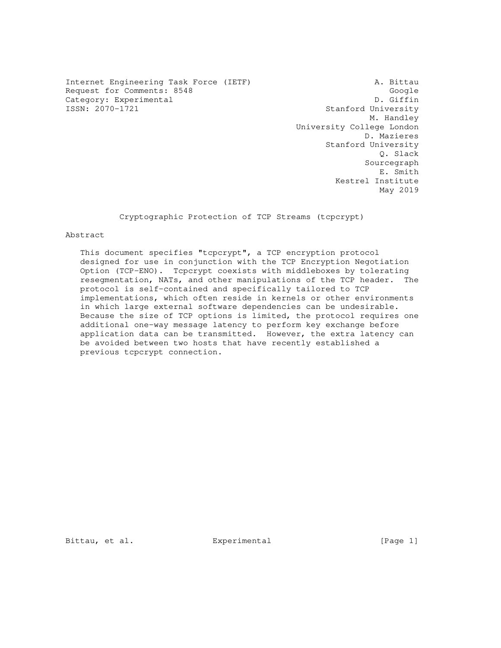Internet Engineering Task Force (IETF) A. Bittau Request for Comments: 8548 Google Google<br>
Category: Experimental D. Giffin Category: Experimental<br>ISSN: 2070-1721

Stanford University M. Handley University College London D. Mazieres Stanford University Q. Slack Sourcegraph E. Smith Kestrel Institute May 2019

Cryptographic Protection of TCP Streams (tcpcrypt)

# Abstract

 This document specifies "tcpcrypt", a TCP encryption protocol designed for use in conjunction with the TCP Encryption Negotiation Option (TCP-ENO). Tcpcrypt coexists with middleboxes by tolerating resegmentation, NATs, and other manipulations of the TCP header. The protocol is self-contained and specifically tailored to TCP implementations, which often reside in kernels or other environments in which large external software dependencies can be undesirable. Because the size of TCP options is limited, the protocol requires one additional one-way message latency to perform key exchange before application data can be transmitted. However, the extra latency can be avoided between two hosts that have recently established a previous tcpcrypt connection.

Bittau, et al. Experimental [Page 1]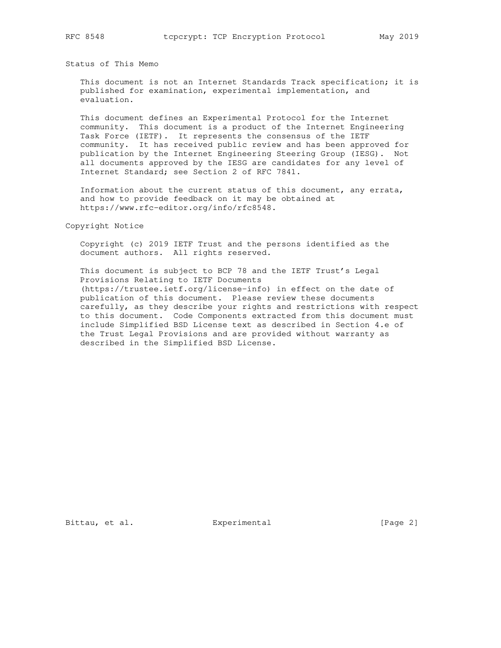Status of This Memo

 This document is not an Internet Standards Track specification; it is published for examination, experimental implementation, and evaluation.

 This document defines an Experimental Protocol for the Internet community. This document is a product of the Internet Engineering Task Force (IETF). It represents the consensus of the IETF community. It has received public review and has been approved for publication by the Internet Engineering Steering Group (IESG). Not all documents approved by the IESG are candidates for any level of Internet Standard; see Section 2 of RFC 7841.

 Information about the current status of this document, any errata, and how to provide feedback on it may be obtained at https://www.rfc-editor.org/info/rfc8548.

Copyright Notice

 Copyright (c) 2019 IETF Trust and the persons identified as the document authors. All rights reserved.

 This document is subject to BCP 78 and the IETF Trust's Legal Provisions Relating to IETF Documents (https://trustee.ietf.org/license-info) in effect on the date of publication of this document. Please review these documents carefully, as they describe your rights and restrictions with respect to this document. Code Components extracted from this document must include Simplified BSD License text as described in Section 4.e of the Trust Legal Provisions and are provided without warranty as described in the Simplified BSD License.

Bittau, et al. <br>Experimental [Page 2]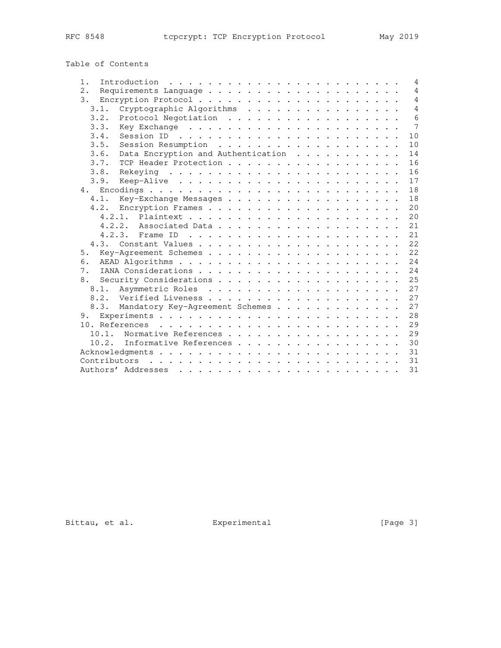| Table of Contents |  |
|-------------------|--|
|-------------------|--|

| Introduction $\ldots \ldots \ldots \ldots \ldots \ldots \ldots \ldots$<br>$1$ . |  |  | $\overline{4}$ |
|---------------------------------------------------------------------------------|--|--|----------------|
| 2.                                                                              |  |  | $\overline{4}$ |
| 3.                                                                              |  |  | $\overline{4}$ |
| 3.1.<br>Cryptographic Algorithms                                                |  |  | $\overline{4}$ |
| 3.2.<br>Protocol Negotiation                                                    |  |  | 6              |
| 3.3.                                                                            |  |  | 7              |
| 3.4.                                                                            |  |  | 10             |
| 3.5.                                                                            |  |  | 10             |
| Data Encryption and Authentication<br>3.6.                                      |  |  | 14             |
| TCP Header Protection<br>3.7.                                                   |  |  | 16             |
| 3.8.                                                                            |  |  | 16             |
| 3.9.                                                                            |  |  | 17             |
|                                                                                 |  |  | 18             |
| 4.1.<br>Key-Exchange Messages                                                   |  |  | 18             |
|                                                                                 |  |  | 20             |
|                                                                                 |  |  | 20             |
|                                                                                 |  |  | 21             |
|                                                                                 |  |  | 21             |
|                                                                                 |  |  | 22             |
| 5.                                                                              |  |  | 22             |
| 6.                                                                              |  |  | 24             |
| 7.                                                                              |  |  | 24             |
| 8.                                                                              |  |  | 25             |
| 8.1.                                                                            |  |  | 27             |
|                                                                                 |  |  | 27             |
| 8.3. Mandatory Key-Agreement Schemes                                            |  |  | 27             |
|                                                                                 |  |  | 28             |
|                                                                                 |  |  | 29             |
| Normative References<br>10.1.                                                   |  |  | 29             |
| 10.2. Informative References                                                    |  |  | 30             |
|                                                                                 |  |  | 31             |
|                                                                                 |  |  | 31             |
|                                                                                 |  |  | 31             |

Bittau, et al. Experimental [Page 3]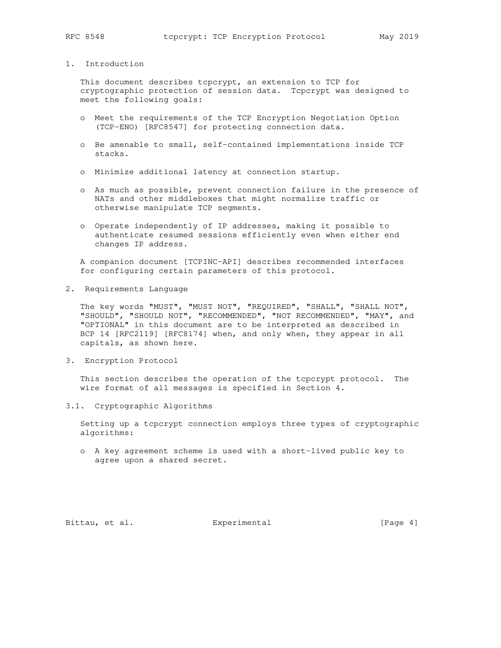# 1. Introduction

 This document describes tcpcrypt, an extension to TCP for cryptographic protection of session data. Tcpcrypt was designed to meet the following goals:

- o Meet the requirements of the TCP Encryption Negotiation Option (TCP-ENO) [RFC8547] for protecting connection data.
- o Be amenable to small, self-contained implementations inside TCP stacks.
- o Minimize additional latency at connection startup.
- o As much as possible, prevent connection failure in the presence of NATs and other middleboxes that might normalize traffic or otherwise manipulate TCP segments.
- o Operate independently of IP addresses, making it possible to authenticate resumed sessions efficiently even when either end changes IP address.

 A companion document [TCPINC-API] describes recommended interfaces for configuring certain parameters of this protocol.

2. Requirements Language

 The key words "MUST", "MUST NOT", "REQUIRED", "SHALL", "SHALL NOT", "SHOULD", "SHOULD NOT", "RECOMMENDED", "NOT RECOMMENDED", "MAY", and "OPTIONAL" in this document are to be interpreted as described in BCP 14 [RFC2119] [RFC8174] when, and only when, they appear in all capitals, as shown here.

3. Encryption Protocol

 This section describes the operation of the tcpcrypt protocol. The wire format of all messages is specified in Section 4.

3.1. Cryptographic Algorithms

 Setting up a tcpcrypt connection employs three types of cryptographic algorithms:

 o A key agreement scheme is used with a short-lived public key to agree upon a shared secret.

Bittau, et al. Experimental Experimental [Page 4]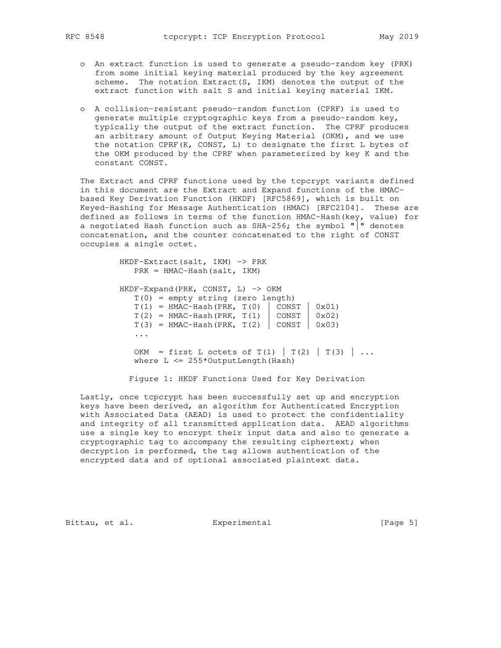- o An extract function is used to generate a pseudo-random key (PRK) from some initial keying material produced by the key agreement scheme. The notation Extract(S, IKM) denotes the output of the extract function with salt S and initial keying material IKM.
- o A collision-resistant pseudo-random function (CPRF) is used to generate multiple cryptographic keys from a pseudo-random key, typically the output of the extract function. The CPRF produces an arbitrary amount of Output Keying Material (OKM), and we use the notation CPRF(K, CONST, L) to designate the first L bytes of the OKM produced by the CPRF when parameterized by key K and the constant CONST.

 The Extract and CPRF functions used by the tcpcrypt variants defined in this document are the Extract and Expand functions of the HMAC based Key Derivation Function (HKDF) [RFC5869], which is built on Keyed-Hashing for Message Authentication (HMAC) [RFC2104]. These are defined as follows in terms of the function HMAC-Hash(key, value) for a negotiated Hash function such as SHA-256; the symbol  $"\rceil"$  denotes concatenation, and the counter concatenated to the right of CONST occupies a single octet.

 HKDF-Extract(salt, IKM) -> PRK PRK = HMAC-Hash(salt, IKM) HKDF-Expand(PRK, CONST, L)  $\rightarrow$  OKM  $T(0)$  = empty string (zero length)  $T(1)$  = HMAC-Hash(PRK,  $T(0)$  | CONST | 0x01)  $T(2) = HMAC-Hash(PRK, T(1) | CONST | 0x02)$  $T(3)$  = HMAC-Hash(PRK,  $T(2)$  | CONST | 0x03) ... OKM = first L octets of  $T(1)$  |  $T(2)$  |  $T(3)$  | ... where  $L \leq 255*$ OutputLength (Hash)

Figure 1: HKDF Functions Used for Key Derivation

 Lastly, once tcpcrypt has been successfully set up and encryption keys have been derived, an algorithm for Authenticated Encryption with Associated Data (AEAD) is used to protect the confidentiality and integrity of all transmitted application data. AEAD algorithms use a single key to encrypt their input data and also to generate a cryptographic tag to accompany the resulting ciphertext; when decryption is performed, the tag allows authentication of the encrypted data and of optional associated plaintext data.

Bittau, et al. <br>Experimental [Page 5]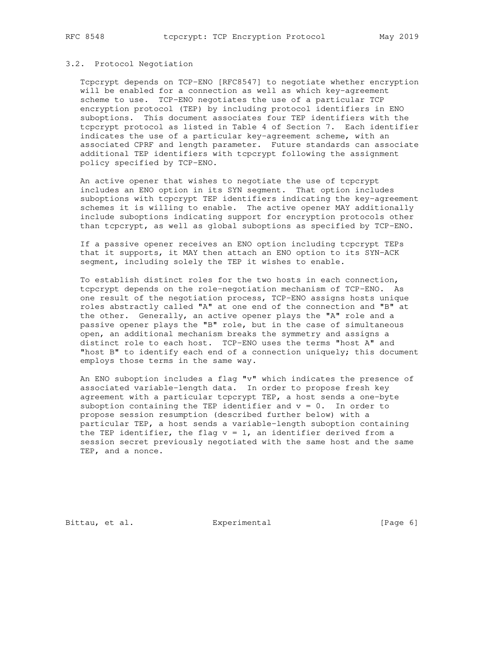#### 3.2. Protocol Negotiation

 Tcpcrypt depends on TCP-ENO [RFC8547] to negotiate whether encryption will be enabled for a connection as well as which key-agreement scheme to use. TCP-ENO negotiates the use of a particular TCP encryption protocol (TEP) by including protocol identifiers in ENO suboptions. This document associates four TEP identifiers with the tcpcrypt protocol as listed in Table 4 of Section 7. Each identifier indicates the use of a particular key-agreement scheme, with an associated CPRF and length parameter. Future standards can associate additional TEP identifiers with tcpcrypt following the assignment policy specified by TCP-ENO.

 An active opener that wishes to negotiate the use of tcpcrypt includes an ENO option in its SYN segment. That option includes suboptions with tcpcrypt TEP identifiers indicating the key-agreement schemes it is willing to enable. The active opener MAY additionally include suboptions indicating support for encryption protocols other than tcpcrypt, as well as global suboptions as specified by TCP-ENO.

 If a passive opener receives an ENO option including tcpcrypt TEPs that it supports, it MAY then attach an ENO option to its SYN-ACK segment, including solely the TEP it wishes to enable.

 To establish distinct roles for the two hosts in each connection, tcpcrypt depends on the role-negotiation mechanism of TCP-ENO. As one result of the negotiation process, TCP-ENO assigns hosts unique roles abstractly called "A" at one end of the connection and "B" at the other. Generally, an active opener plays the "A" role and a passive opener plays the "B" role, but in the case of simultaneous open, an additional mechanism breaks the symmetry and assigns a distinct role to each host. TCP-ENO uses the terms "host A" and "host B" to identify each end of a connection uniquely; this document employs those terms in the same way.

 An ENO suboption includes a flag "v" which indicates the presence of associated variable-length data. In order to propose fresh key agreement with a particular tcpcrypt TEP, a host sends a one-byte suboption containing the TEP identifier and  $v = 0$ . In order to propose session resumption (described further below) with a particular TEP, a host sends a variable-length suboption containing the TEP identifier, the flag  $v = 1$ , an identifier derived from a session secret previously negotiated with the same host and the same TEP, and a nonce.

Bittau, et al. Experimental Experimental [Page 6]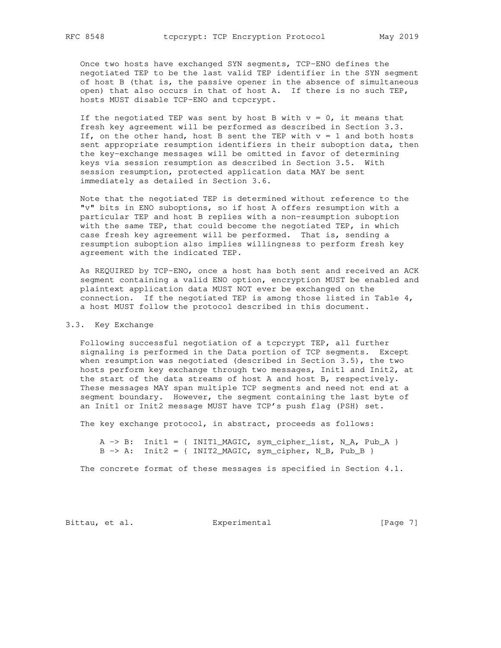Once two hosts have exchanged SYN segments, TCP-ENO defines the negotiated TEP to be the last valid TEP identifier in the SYN segment of host B (that is, the passive opener in the absence of simultaneous open) that also occurs in that of host A. If there is no such TEP, hosts MUST disable TCP-ENO and tcpcrypt.

If the negotiated TEP was sent by host B with  $v = 0$ , it means that fresh key agreement will be performed as described in Section 3.3. If, on the other hand, host B sent the TEP with  $v = 1$  and both hosts sent appropriate resumption identifiers in their suboption data, then the key-exchange messages will be omitted in favor of determining keys via session resumption as described in Section 3.5. With session resumption, protected application data MAY be sent immediately as detailed in Section 3.6.

 Note that the negotiated TEP is determined without reference to the "v" bits in ENO suboptions, so if host A offers resumption with a particular TEP and host B replies with a non-resumption suboption with the same TEP, that could become the negotiated TEP, in which case fresh key agreement will be performed. That is, sending a resumption suboption also implies willingness to perform fresh key agreement with the indicated TEP.

 As REQUIRED by TCP-ENO, once a host has both sent and received an ACK segment containing a valid ENO option, encryption MUST be enabled and plaintext application data MUST NOT ever be exchanged on the connection. If the negotiated TEP is among those listed in Table 4, a host MUST follow the protocol described in this document.

# 3.3. Key Exchange

 Following successful negotiation of a tcpcrypt TEP, all further signaling is performed in the Data portion of TCP segments. Except when resumption was negotiated (described in Section 3.5), the two hosts perform key exchange through two messages, Init1 and Init2, at the start of the data streams of host A and host B, respectively. These messages MAY span multiple TCP segments and need not end at a segment boundary. However, the segment containing the last byte of an Init1 or Init2 message MUST have TCP's push flag (PSH) set.

The key exchange protocol, in abstract, proceeds as follows:

 $A \rightarrow B$ : Init1 = { INIT1\_MAGIC, sym\_cipher\_list, N\_A, Pub\_A }  $B \rightarrow A$ : Init2 = { INIT2\_MAGIC, sym\_cipher, N\_B, Pub\_B }

The concrete format of these messages is specified in Section 4.1.

Bittau, et al. Experimental [Page 7]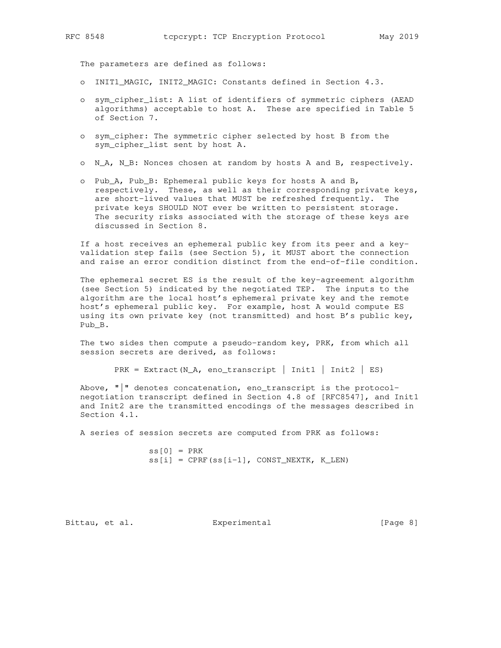The parameters are defined as follows:

- o INIT1\_MAGIC, INIT2\_MAGIC: Constants defined in Section 4.3.
- o sym\_cipher\_list: A list of identifiers of symmetric ciphers (AEAD algorithms) acceptable to host A. These are specified in Table 5 of Section 7.
- o sym\_cipher: The symmetric cipher selected by host B from the sym\_cipher\_list sent by host A.
- o N\_A, N\_B: Nonces chosen at random by hosts A and B, respectively.
- o Pub\_A, Pub\_B: Ephemeral public keys for hosts A and B, respectively. These, as well as their corresponding private keys, are short-lived values that MUST be refreshed frequently. The private keys SHOULD NOT ever be written to persistent storage. The security risks associated with the storage of these keys are discussed in Section 8.

 If a host receives an ephemeral public key from its peer and a key validation step fails (see Section 5), it MUST abort the connection and raise an error condition distinct from the end-of-file condition.

 The ephemeral secret ES is the result of the key-agreement algorithm (see Section 5) indicated by the negotiated TEP. The inputs to the algorithm are the local host's ephemeral private key and the remote host's ephemeral public key. For example, host A would compute ES using its own private key (not transmitted) and host B's public key, Pub\_B.

 The two sides then compute a pseudo-random key, PRK, from which all session secrets are derived, as follows:

```
PRK = Extract(N_A, eno_transcript | Init1 | Init2 | ES)
```
 Above, "|" denotes concatenation, eno\_transcript is the protocol negotiation transcript defined in Section 4.8 of [RFC8547], and Init1 and Init2 are the transmitted encodings of the messages described in Section 4.1.

A series of session secrets are computed from PRK as follows:

 $ss[0] = PRK$  $ss[i] = CPRF(ss[i-1], CONST_NEXTK, K_LEN)$ 

Bittau, et al. <br>Experimental [Page 8]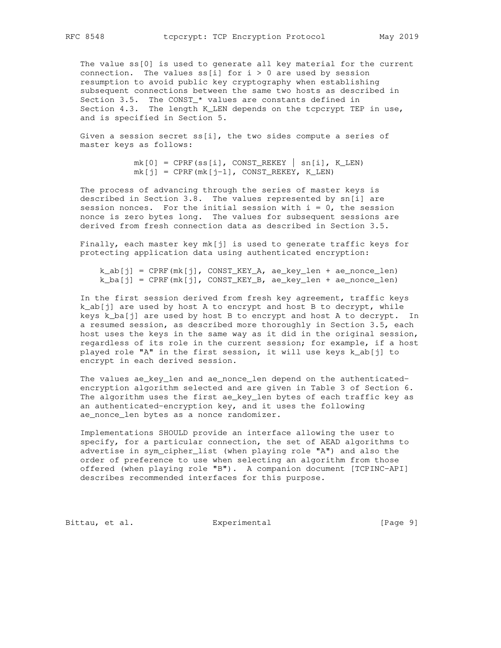The value ss[0] is used to generate all key material for the current connection. The values  $ss[i]$  for  $i > 0$  are used by session resumption to avoid public key cryptography when establishing subsequent connections between the same two hosts as described in Section 3.5. The CONST\_\* values are constants defined in Section 4.3. The length K\_LEN depends on the tcpcrypt TEP in use, and is specified in Section 5.

 Given a session secret ss[i], the two sides compute a series of master keys as follows:

> $mk[0] = CPRF(ss[i], CONST\_REKEY | sn[i], K_LEN)$  $mk[i] = CPRF(mk[i-1], CONST_REKEY, K_LEN)$

 The process of advancing through the series of master keys is described in Section 3.8. The values represented by sn[i] are session nonces. For the initial session with  $i = 0$ , the session nonce is zero bytes long. The values for subsequent sessions are derived from fresh connection data as described in Section 3.5.

 Finally, each master key mk[j] is used to generate traffic keys for protecting application data using authenticated encryption:

 $k\_ab[j]$  = CPRF(mk[j], CONST\_KEY\_A, ae\_key\_len + ae\_nonce\_len)  $k_ba[j] = CPRF(mk[j], CONST_KEY_B, ae_key_len + ae_nonce_len)$ 

 In the first session derived from fresh key agreement, traffic keys k\_ab[j] are used by host A to encrypt and host B to decrypt, while keys k\_ba[j] are used by host B to encrypt and host A to decrypt. In a resumed session, as described more thoroughly in Section 3.5, each host uses the keys in the same way as it did in the original session, regardless of its role in the current session; for example, if a host played role "A" in the first session, it will use keys k\_ab[j] to encrypt in each derived session.

 The values ae\_key\_len and ae\_nonce\_len depend on the authenticated encryption algorithm selected and are given in Table 3 of Section 6. The algorithm uses the first ae\_key\_len bytes of each traffic key as an authenticated-encryption key, and it uses the following ae\_nonce\_len bytes as a nonce randomizer.

 Implementations SHOULD provide an interface allowing the user to specify, for a particular connection, the set of AEAD algorithms to advertise in sym\_cipher\_list (when playing role "A") and also the order of preference to use when selecting an algorithm from those offered (when playing role "B"). A companion document [TCPINC-API] describes recommended interfaces for this purpose.

Bittau, et al. Experimental Experimental [Page 9]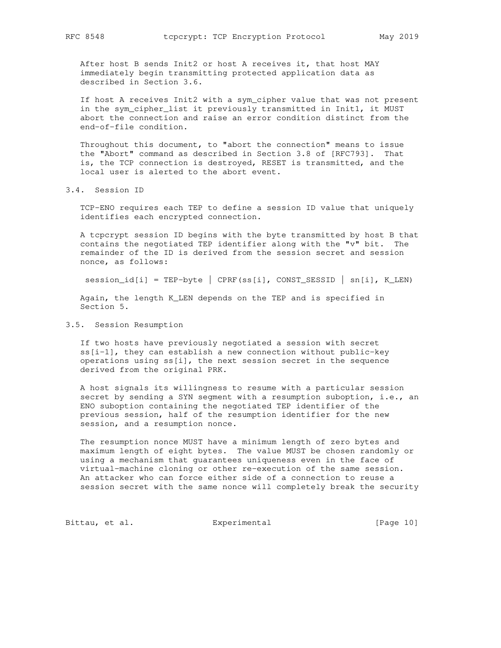After host B sends Init2 or host A receives it, that host MAY immediately begin transmitting protected application data as described in Section 3.6.

 If host A receives Init2 with a sym\_cipher value that was not present in the sym\_cipher\_list it previously transmitted in Init1, it MUST abort the connection and raise an error condition distinct from the end-of-file condition.

 Throughout this document, to "abort the connection" means to issue the "Abort" command as described in Section 3.8 of [RFC793]. That is, the TCP connection is destroyed, RESET is transmitted, and the local user is alerted to the abort event.

3.4. Session ID

 TCP-ENO requires each TEP to define a session ID value that uniquely identifies each encrypted connection.

 A tcpcrypt session ID begins with the byte transmitted by host B that contains the negotiated TEP identifier along with the "v" bit. The remainder of the ID is derived from the session secret and session nonce, as follows:

session\_id[i] = TEP-byte | CPRF(ss[i], CONST\_SESSID | sn[i], K\_LEN)

 Again, the length K\_LEN depends on the TEP and is specified in Section 5.

# 3.5. Session Resumption

 If two hosts have previously negotiated a session with secret ss[i-1], they can establish a new connection without public-key operations using ss[i], the next session secret in the sequence derived from the original PRK.

 A host signals its willingness to resume with a particular session secret by sending a SYN segment with a resumption suboption, i.e., an ENO suboption containing the negotiated TEP identifier of the previous session, half of the resumption identifier for the new session, and a resumption nonce.

 The resumption nonce MUST have a minimum length of zero bytes and maximum length of eight bytes. The value MUST be chosen randomly or using a mechanism that guarantees uniqueness even in the face of virtual-machine cloning or other re-execution of the same session. An attacker who can force either side of a connection to reuse a session secret with the same nonce will completely break the security

Bittau, et al. Experimental [Page 10]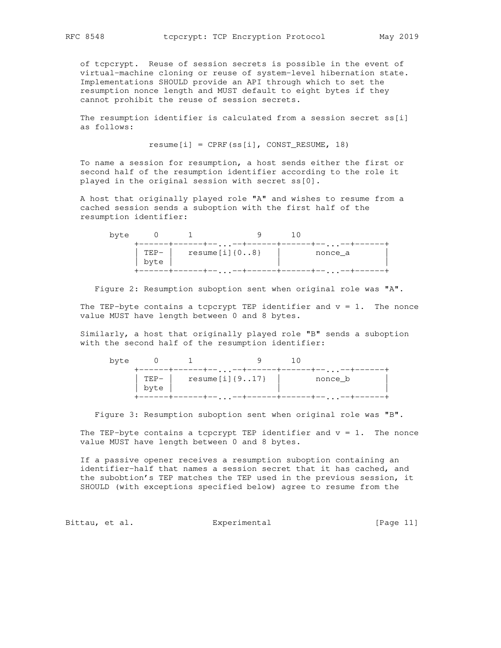of tcpcrypt. Reuse of session secrets is possible in the event of virtual-machine cloning or reuse of system-level hibernation state. Implementations SHOULD provide an API through which to set the resumption nonce length and MUST default to eight bytes if they cannot prohibit the reuse of session secrets.

 The resumption identifier is calculated from a session secret ss[i] as follows:

 $resume[i] = CPRF(ssj[i], CONST\_RESUME, 18)$ 

 To name a session for resumption, a host sends either the first or second half of the resumption identifier according to the role it played in the original session with secret ss[0].

 A host that originally played role "A" and wishes to resume from a cached session sends a suboption with the first half of the resumption identifier:

| byte |              |                      |         |  |
|------|--------------|----------------------|---------|--|
|      | TEP-<br>byte | $resume[i]$ { $08$ } | nonce_a |  |
|      |              |                      |         |  |

Figure 2: Resumption suboption sent when original role was "A".

The TEP-byte contains a tcpcrypt TEP identifier and  $v = 1$ . The nonce value MUST have length between 0 and 8 bytes.

 Similarly, a host that originally played role "B" sends a suboption with the second half of the resumption identifier:

| byte |                       |                        |           |  |         |  |
|------|-----------------------|------------------------|-----------|--|---------|--|
|      | $\text{TEP}-$<br>byte | resume $[i]$ $\{917\}$ | $\ddotsc$ |  | nonce_b |  |
|      |                       |                        | .         |  |         |  |

Figure 3: Resumption suboption sent when original role was "B".

The TEP-byte contains a tcpcrypt TEP identifier and  $v = 1$ . The nonce value MUST have length between 0 and 8 bytes.

 If a passive opener receives a resumption suboption containing an identifier-half that names a session secret that it has cached, and the subobtion's TEP matches the TEP used in the previous session, it SHOULD (with exceptions specified below) agree to resume from the

Bittau, et al. Experimental [Page 11]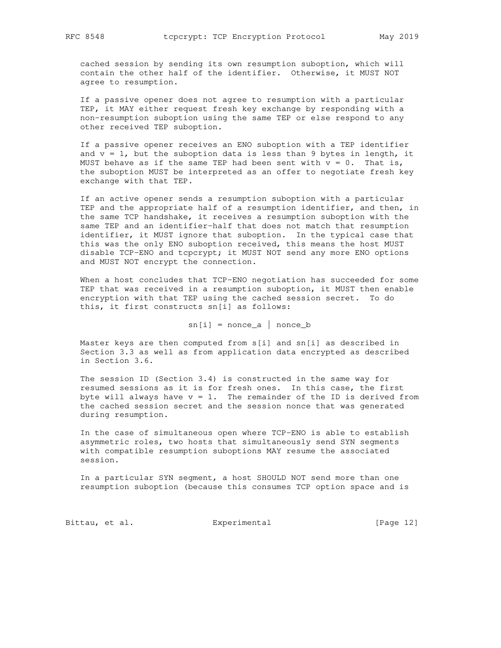cached session by sending its own resumption suboption, which will contain the other half of the identifier. Otherwise, it MUST NOT agree to resumption.

 If a passive opener does not agree to resumption with a particular TEP, it MAY either request fresh key exchange by responding with a non-resumption suboption using the same TEP or else respond to any other received TEP suboption.

 If a passive opener receives an ENO suboption with a TEP identifier and  $v = 1$ , but the suboption data is less than 9 bytes in length, it MUST behave as if the same TEP had been sent with  $v = 0$ . That is, the suboption MUST be interpreted as an offer to negotiate fresh key exchange with that TEP.

 If an active opener sends a resumption suboption with a particular TEP and the appropriate half of a resumption identifier, and then, in the same TCP handshake, it receives a resumption suboption with the same TEP and an identifier-half that does not match that resumption identifier, it MUST ignore that suboption. In the typical case that this was the only ENO suboption received, this means the host MUST disable TCP-ENO and tcpcrypt; it MUST NOT send any more ENO options and MUST NOT encrypt the connection.

 When a host concludes that TCP-ENO negotiation has succeeded for some TEP that was received in a resumption suboption, it MUST then enable encryption with that TEP using the cached session secret. To do this, it first constructs sn[i] as follows:

 $sn[i] = none\_a$  | nonce\_b

 Master keys are then computed from s[i] and sn[i] as described in Section 3.3 as well as from application data encrypted as described in Section 3.6.

 The session ID (Section 3.4) is constructed in the same way for resumed sessions as it is for fresh ones. In this case, the first byte will always have  $v = 1$ . The remainder of the ID is derived from the cached session secret and the session nonce that was generated during resumption.

 In the case of simultaneous open where TCP-ENO is able to establish asymmetric roles, two hosts that simultaneously send SYN segments with compatible resumption suboptions MAY resume the associated session.

 In a particular SYN segment, a host SHOULD NOT send more than one resumption suboption (because this consumes TCP option space and is

Bittau, et al. Experimental [Page 12]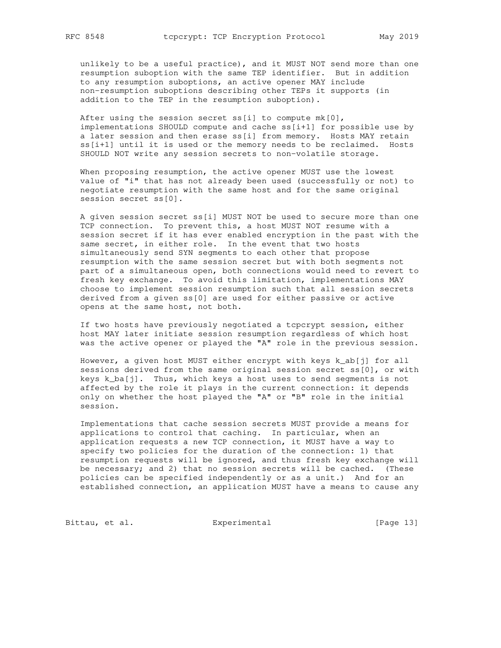unlikely to be a useful practice), and it MUST NOT send more than one resumption suboption with the same TEP identifier. But in addition to any resumption suboptions, an active opener MAY include non-resumption suboptions describing other TEPs it supports (in addition to the TEP in the resumption suboption).

After using the session secret ss[i] to compute mk[0], implementations SHOULD compute and cache ss[i+1] for possible use by a later session and then erase ss[i] from memory. Hosts MAY retain ss[i+1] until it is used or the memory needs to be reclaimed. Hosts SHOULD NOT write any session secrets to non-volatile storage.

 When proposing resumption, the active opener MUST use the lowest value of "i" that has not already been used (successfully or not) to negotiate resumption with the same host and for the same original session secret ss[0].

 A given session secret ss[i] MUST NOT be used to secure more than one TCP connection. To prevent this, a host MUST NOT resume with a session secret if it has ever enabled encryption in the past with the same secret, in either role. In the event that two hosts simultaneously send SYN segments to each other that propose resumption with the same session secret but with both segments not part of a simultaneous open, both connections would need to revert to fresh key exchange. To avoid this limitation, implementations MAY choose to implement session resumption such that all session secrets derived from a given ss[0] are used for either passive or active opens at the same host, not both.

 If two hosts have previously negotiated a tcpcrypt session, either host MAY later initiate session resumption regardless of which host was the active opener or played the "A" role in the previous session.

 However, a given host MUST either encrypt with keys k\_ab[j] for all sessions derived from the same original session secret ss[0], or with keys k\_ba[j]. Thus, which keys a host uses to send segments is not affected by the role it plays in the current connection: it depends only on whether the host played the "A" or "B" role in the initial session.

 Implementations that cache session secrets MUST provide a means for applications to control that caching. In particular, when an application requests a new TCP connection, it MUST have a way to specify two policies for the duration of the connection: 1) that resumption requests will be ignored, and thus fresh key exchange will be necessary; and 2) that no session secrets will be cached. (These policies can be specified independently or as a unit.) And for an established connection, an application MUST have a means to cause any

Bittau, et al. Experimental [Page 13]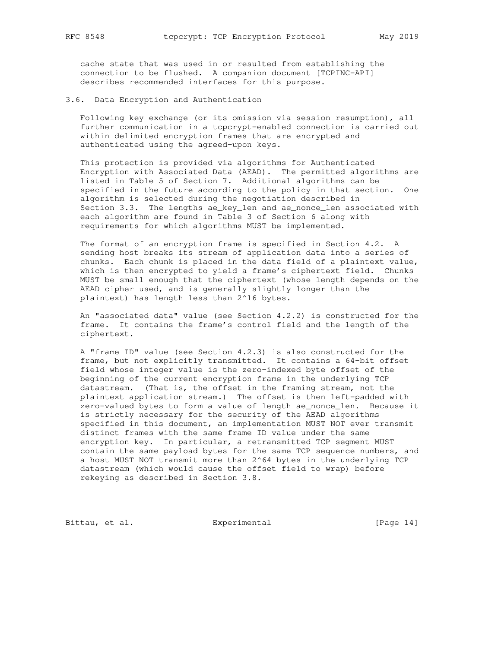cache state that was used in or resulted from establishing the connection to be flushed. A companion document [TCPINC-API] describes recommended interfaces for this purpose.

3.6. Data Encryption and Authentication

 Following key exchange (or its omission via session resumption), all further communication in a tcpcrypt-enabled connection is carried out within delimited encryption frames that are encrypted and authenticated using the agreed-upon keys.

 This protection is provided via algorithms for Authenticated Encryption with Associated Data (AEAD). The permitted algorithms are listed in Table 5 of Section 7. Additional algorithms can be specified in the future according to the policy in that section. One algorithm is selected during the negotiation described in Section 3.3. The lengths ae\_key\_len and ae\_nonce\_len associated with each algorithm are found in Table 3 of Section 6 along with requirements for which algorithms MUST be implemented.

 The format of an encryption frame is specified in Section 4.2. A sending host breaks its stream of application data into a series of chunks. Each chunk is placed in the data field of a plaintext value, which is then encrypted to yield a frame's ciphertext field. Chunks MUST be small enough that the ciphertext (whose length depends on the AEAD cipher used, and is generally slightly longer than the plaintext) has length less than 2^16 bytes.

 An "associated data" value (see Section 4.2.2) is constructed for the frame. It contains the frame's control field and the length of the ciphertext.

 A "frame ID" value (see Section 4.2.3) is also constructed for the frame, but not explicitly transmitted. It contains a 64-bit offset field whose integer value is the zero-indexed byte offset of the beginning of the current encryption frame in the underlying TCP datastream. (That is, the offset in the framing stream, not the plaintext application stream.) The offset is then left-padded with zero-valued bytes to form a value of length ae\_nonce\_len. Because it is strictly necessary for the security of the AEAD algorithms specified in this document, an implementation MUST NOT ever transmit distinct frames with the same frame ID value under the same encryption key. In particular, a retransmitted TCP segment MUST contain the same payload bytes for the same TCP sequence numbers, and a host MUST NOT transmit more than 2^64 bytes in the underlying TCP datastream (which would cause the offset field to wrap) before rekeying as described in Section 3.8.

Bittau, et al. Experimental [Page 14]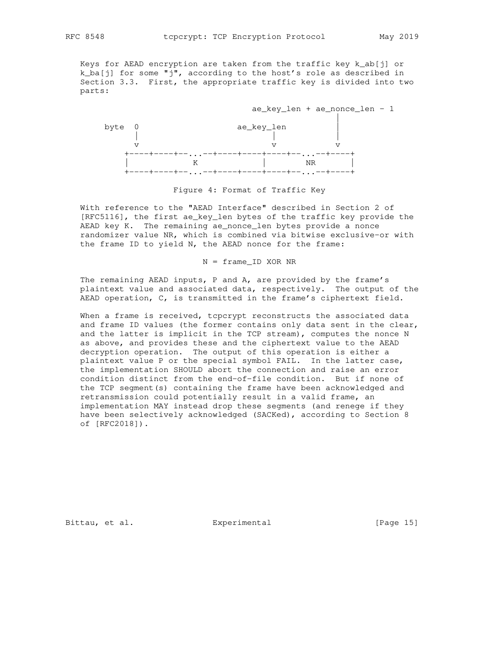Keys for AEAD encryption are taken from the traffic key k\_ab[j] or k\_ba[j] for some "j", according to the host's role as described in Section 3.3. First, the appropriate traffic key is divided into two parts:



Figure 4: Format of Traffic Key

 With reference to the "AEAD Interface" described in Section 2 of [RFC5116], the first ae\_key\_len bytes of the traffic key provide the AEAD key K. The remaining ae\_nonce\_len bytes provide a nonce randomizer value NR, which is combined via bitwise exclusive-or with the frame ID to yield N, the AEAD nonce for the frame:

N = frame\_ID XOR NR

 The remaining AEAD inputs, P and A, are provided by the frame's plaintext value and associated data, respectively. The output of the AEAD operation, C, is transmitted in the frame's ciphertext field.

When a frame is received, tcpcrypt reconstructs the associated data and frame ID values (the former contains only data sent in the clear, and the latter is implicit in the TCP stream), computes the nonce N as above, and provides these and the ciphertext value to the AEAD decryption operation. The output of this operation is either a plaintext value P or the special symbol FAIL. In the latter case, the implementation SHOULD abort the connection and raise an error condition distinct from the end-of-file condition. But if none of the TCP segment(s) containing the frame have been acknowledged and retransmission could potentially result in a valid frame, an implementation MAY instead drop these segments (and renege if they have been selectively acknowledged (SACKed), according to Section 8 of [RFC2018]).

Bittau, et al. Superimental Experimental [Page 15]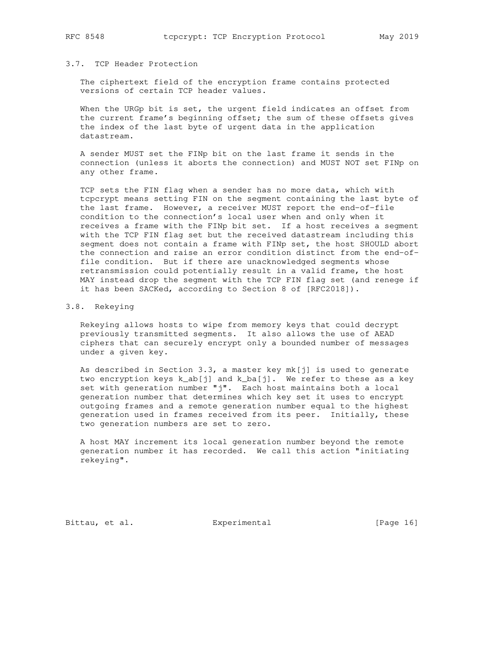## 3.7. TCP Header Protection

 The ciphertext field of the encryption frame contains protected versions of certain TCP header values.

When the URGp bit is set, the urgent field indicates an offset from the current frame's beginning offset; the sum of these offsets gives the index of the last byte of urgent data in the application datastream.

 A sender MUST set the FINp bit on the last frame it sends in the connection (unless it aborts the connection) and MUST NOT set FINp on any other frame.

 TCP sets the FIN flag when a sender has no more data, which with tcpcrypt means setting FIN on the segment containing the last byte of the last frame. However, a receiver MUST report the end-of-file condition to the connection's local user when and only when it receives a frame with the FINp bit set. If a host receives a segment with the TCP FIN flag set but the received datastream including this segment does not contain a frame with FINp set, the host SHOULD abort the connection and raise an error condition distinct from the end-of file condition. But if there are unacknowledged segments whose retransmission could potentially result in a valid frame, the host MAY instead drop the segment with the TCP FIN flag set (and renege if it has been SACKed, according to Section 8 of [RFC2018]).

#### 3.8. Rekeying

 Rekeying allows hosts to wipe from memory keys that could decrypt previously transmitted segments. It also allows the use of AEAD ciphers that can securely encrypt only a bounded number of messages under a given key.

 As described in Section 3.3, a master key mk[j] is used to generate two encryption keys k\_ab[j] and k\_ba[j]. We refer to these as a key set with generation number "j". Each host maintains both a local generation number that determines which key set it uses to encrypt outgoing frames and a remote generation number equal to the highest generation used in frames received from its peer. Initially, these two generation numbers are set to zero.

 A host MAY increment its local generation number beyond the remote generation number it has recorded. We call this action "initiating rekeying".

Bittau, et al. **Experimental** [Page 16]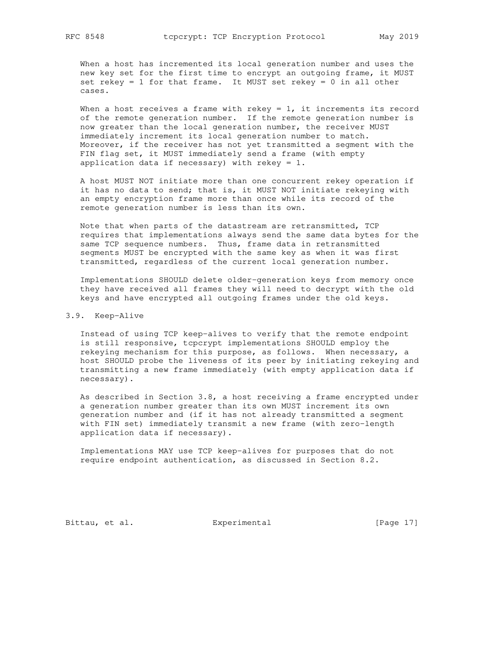When a host has incremented its local generation number and uses the new key set for the first time to encrypt an outgoing frame, it MUST set rekey = 1 for that frame. It MUST set rekey = 0 in all other cases.

When a host receives a frame with rekey =  $1$ , it increments its record of the remote generation number. If the remote generation number is now greater than the local generation number, the receiver MUST immediately increment its local generation number to match. Moreover, if the receiver has not yet transmitted a segment with the FIN flag set, it MUST immediately send a frame (with empty application data if necessary) with rekey =  $1$ .

 A host MUST NOT initiate more than one concurrent rekey operation if it has no data to send; that is, it MUST NOT initiate rekeying with an empty encryption frame more than once while its record of the remote generation number is less than its own.

 Note that when parts of the datastream are retransmitted, TCP requires that implementations always send the same data bytes for the same TCP sequence numbers. Thus, frame data in retransmitted segments MUST be encrypted with the same key as when it was first transmitted, regardless of the current local generation number.

 Implementations SHOULD delete older-generation keys from memory once they have received all frames they will need to decrypt with the old keys and have encrypted all outgoing frames under the old keys.

#### 3.9. Keep-Alive

 Instead of using TCP keep-alives to verify that the remote endpoint is still responsive, tcpcrypt implementations SHOULD employ the rekeying mechanism for this purpose, as follows. When necessary, a host SHOULD probe the liveness of its peer by initiating rekeying and transmitting a new frame immediately (with empty application data if necessary).

 As described in Section 3.8, a host receiving a frame encrypted under a generation number greater than its own MUST increment its own generation number and (if it has not already transmitted a segment with FIN set) immediately transmit a new frame (with zero-length application data if necessary).

 Implementations MAY use TCP keep-alives for purposes that do not require endpoint authentication, as discussed in Section 8.2.

Bittau, et al. Experimental [Page 17]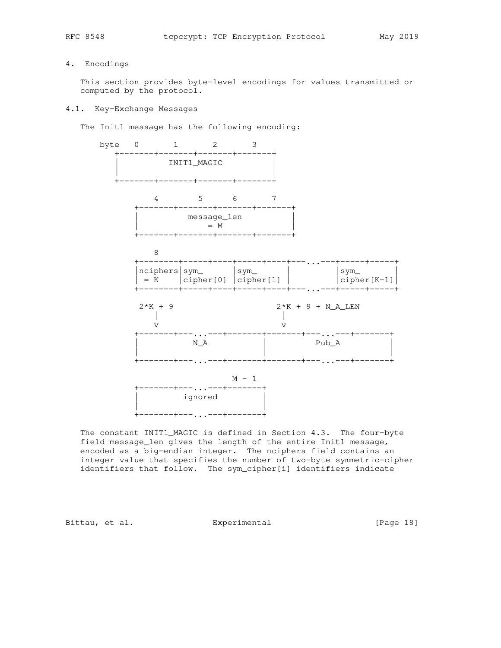# 4. Encodings

 This section provides byte-level encodings for values transmitted or computed by the protocol.

#### 4.1. Key-Exchange Messages

The Init1 message has the following encoding:



 The constant INIT1\_MAGIC is defined in Section 4.3. The four-byte field message\_len gives the length of the entire Init1 message, encoded as a big-endian integer. The nciphers field contains an integer value that specifies the number of two-byte symmetric-cipher identifiers that follow. The sym\_cipher[i] identifiers indicate

Bittau, et al. Superimental Experimental [Page 18]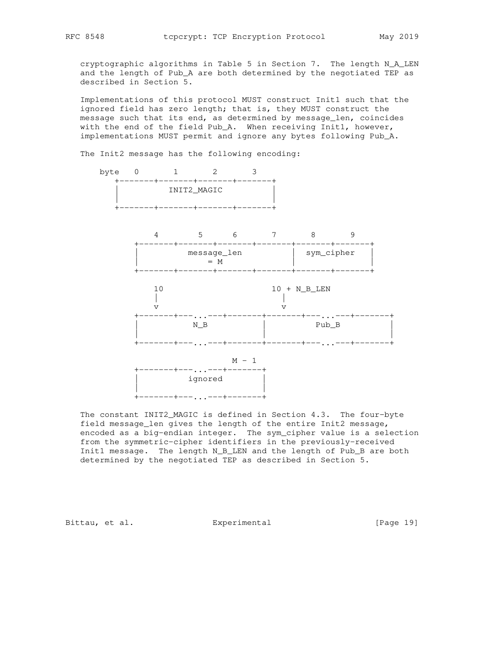cryptographic algorithms in Table 5 in Section 7. The length N\_A\_LEN and the length of Pub\_A are both determined by the negotiated TEP as described in Section 5.

 Implementations of this protocol MUST construct Init1 such that the ignored field has zero length; that is, they MUST construct the message such that its end, as determined by message\_len, coincides with the end of the field Pub\_A. When receiving Init1, however, implementations MUST permit and ignore any bytes following Pub\_A.

The Init2 message has the following encoding:



 The constant INIT2\_MAGIC is defined in Section 4.3. The four-byte field message\_len gives the length of the entire Init2 message, encoded as a big-endian integer. The sym\_cipher value is a selection from the symmetric-cipher identifiers in the previously-received Init1 message. The length N\_B\_LEN and the length of Pub\_B are both determined by the negotiated TEP as described in Section 5.

Bittau, et al. Superimental Experimental [Page 19]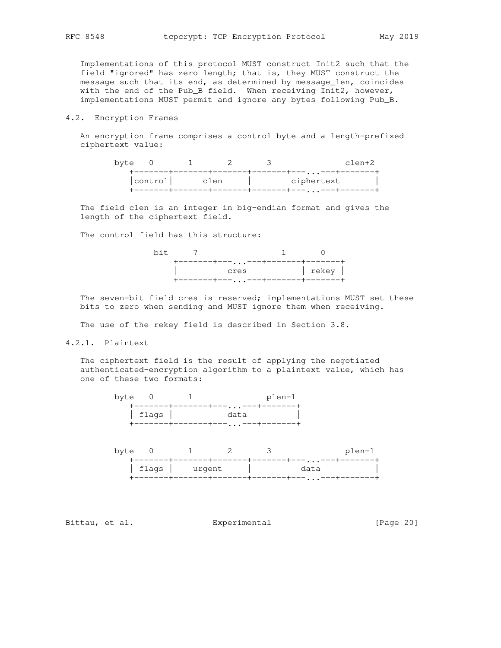Implementations of this protocol MUST construct Init2 such that the field "ignored" has zero length; that is, they MUST construct the message such that its end, as determined by message\_len, coincides with the end of the Pub\_B field. When receiving Init2, however, implementations MUST permit and ignore any bytes following Pub\_B.

### 4.2. Encryption Frames

 An encryption frame comprises a control byte and a length-prefixed ciphertext value:

| byte |         |      | clen+2               |
|------|---------|------|----------------------|
|      |         |      | $\sim$ $\sim$ $\sim$ |
|      | control | clen | ciphertext           |
|      |         |      | $\sim$ $\sim$ $\sim$ |

 The field clen is an integer in big-endian format and gives the length of the ciphertext field.

The control field has this structure:



 The seven-bit field cres is reserved; implementations MUST set these bits to zero when sending and MUST ignore them when receiving.

The use of the rekey field is described in Section 3.8.

### 4.2.1. Plaintext

 The ciphertext field is the result of applying the negotiated authenticated-encryption algorithm to a plaintext value, which has one of these two formats:



| byte |                |  | plen-1               |
|------|----------------|--|----------------------|
|      |                |  | $\sim$ $\sim$ $\sim$ |
|      | flags   urgent |  | data                 |
|      |                |  | $\sim$ $\sim$ $\sim$ |

Bittau, et al. **Experimental** Experimental [Page 20]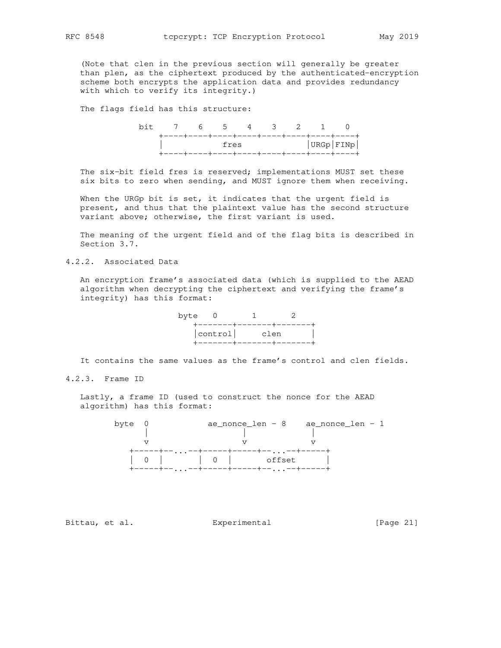(Note that clen in the previous section will generally be greater than plen, as the ciphertext produced by the authenticated-encryption scheme both encrypts the application data and provides redundancy with which to verify its integrity.)

The flags field has this structure:

|  | bit 7 6 5 4 3 2 1 0              |  |  |  |           |
|--|----------------------------------|--|--|--|-----------|
|  |                                  |  |  |  |           |
|  | <b>Example 19</b> Service Stress |  |  |  | URGP FIND |
|  |                                  |  |  |  |           |

 The six-bit field fres is reserved; implementations MUST set these six bits to zero when sending, and MUST ignore them when receiving.

 When the URGp bit is set, it indicates that the urgent field is present, and thus that the plaintext value has the second structure variant above; otherwise, the first variant is used.

 The meaning of the urgent field and of the flag bits is described in Section 3.7.

4.2.2. Associated Data

 An encryption frame's associated data (which is supplied to the AEAD algorithm when decrypting the ciphertext and verifying the frame's integrity) has this format:

| byte 0 |                |  |
|--------|----------------|--|
|        |                |  |
|        | control   clen |  |
|        |                |  |

It contains the same values as the frame's control and clen fields.

4.2.3. Frame ID

 Lastly, a frame ID (used to construct the nonce for the AEAD algorithm) has this format:



Bittau, et al. Subsectimental Experimental [Page 21]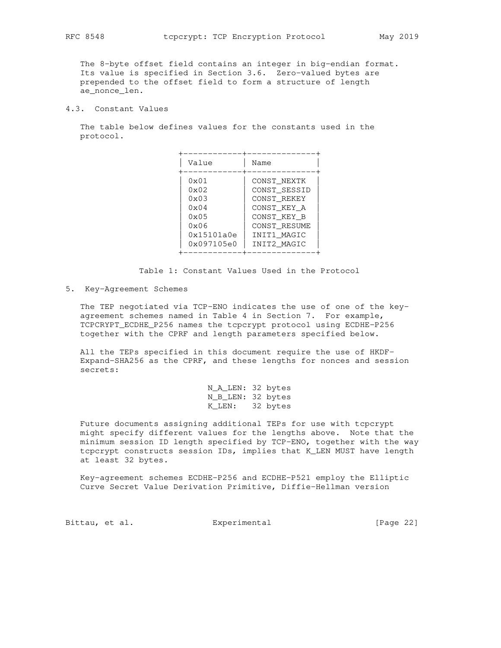The 8-byte offset field contains an integer in big-endian format. Its value is specified in Section 3.6. Zero-valued bytes are prepended to the offset field to form a structure of length ae\_nonce\_len.

4.3. Constant Values

 The table below defines values for the constants used in the protocol.

| Value                                                                                                                  | Name                                                                                                                   |
|------------------------------------------------------------------------------------------------------------------------|------------------------------------------------------------------------------------------------------------------------|
| $0 \times 01$<br>$0 \times 02$<br>$0 \times 03$<br>$0 \times 04$<br>$0 \times 0.5$<br>0x06<br>0x15101a0e<br>0x097105e0 | CONST NEXTK<br>CONST_SESSID<br>CONST REKEY<br>CONST KEY A<br>CONST KEY B<br>CONST RESUME<br>INIT1 MAGIC<br>INIT2 MAGIC |

Table 1: Constant Values Used in the Protocol

5. Key-Agreement Schemes

 The TEP negotiated via TCP-ENO indicates the use of one of the key agreement schemes named in Table 4 in Section 7. For example, TCPCRYPT\_ECDHE\_P256 names the tcpcrypt protocol using ECDHE-P256 together with the CPRF and length parameters specified below.

 All the TEPs specified in this document require the use of HKDF- Expand-SHA256 as the CPRF, and these lengths for nonces and session secrets:

 N\_A\_LEN: 32 bytes N\_B\_LEN: 32 bytes K\_LEN: 32 bytes

 Future documents assigning additional TEPs for use with tcpcrypt might specify different values for the lengths above. Note that the minimum session ID length specified by TCP-ENO, together with the way tcpcrypt constructs session IDs, implies that K\_LEN MUST have length at least 32 bytes.

 Key-agreement schemes ECDHE-P256 and ECDHE-P521 employ the Elliptic Curve Secret Value Derivation Primitive, Diffie-Hellman version

Bittau, et al. Experimental [Page 22]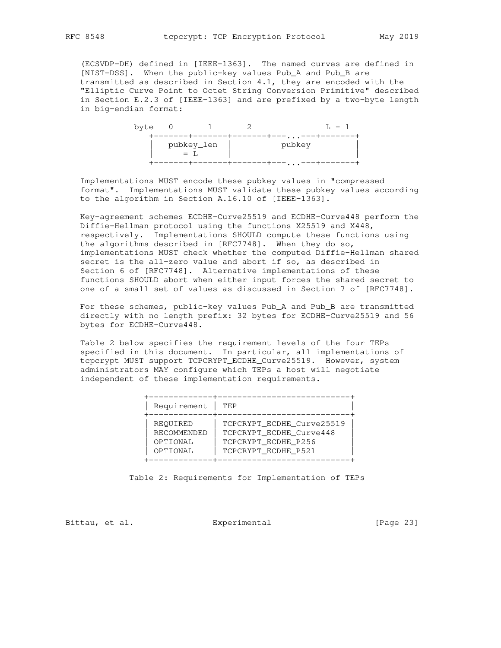(ECSVDP-DH) defined in [IEEE-1363]. The named curves are defined in [NIST-DSS]. When the public-key values Pub\_A and Pub\_B are transmitted as described in Section 4.1, they are encoded with the "Elliptic Curve Point to Octet String Conversion Primitive" described in Section E.2.3 of [IEEE-1363] and are prefixed by a two-byte length in big-endian format:

| byte |     |            |                    |  |
|------|-----|------------|--------------------|--|
|      | $=$ | pubkey_len | $\cdots$<br>pubkey |  |
|      |     |            | $\cdots$           |  |

 Implementations MUST encode these pubkey values in "compressed format". Implementations MUST validate these pubkey values according to the algorithm in Section A.16.10 of [IEEE-1363].

 Key-agreement schemes ECDHE-Curve25519 and ECDHE-Curve448 perform the Diffie-Hellman protocol using the functions X25519 and X448, respectively. Implementations SHOULD compute these functions using the algorithms described in [RFC7748]. When they do so, implementations MUST check whether the computed Diffie-Hellman shared secret is the all-zero value and abort if so, as described in Section 6 of [RFC7748]. Alternative implementations of these functions SHOULD abort when either input forces the shared secret to one of a small set of values as discussed in Section 7 of [RFC7748].

 For these schemes, public-key values Pub\_A and Pub\_B are transmitted directly with no length prefix: 32 bytes for ECDHE-Curve25519 and 56 bytes for ECDHE-Curve448.

 Table 2 below specifies the requirement levels of the four TEPs specified in this document. In particular, all implementations of tcpcrypt MUST support TCPCRYPT\_ECDHE\_Curve25519. However, system administrators MAY configure which TEPs a host will negotiate independent of these implementation requirements.

| Requirement                                     | TEP.                                                                                               |
|-------------------------------------------------|----------------------------------------------------------------------------------------------------|
| REQUIRED<br>RECOMMENDED<br>OPTIONAL<br>OPTIONAL | TCPCRYPT ECDHE Curve25519<br>TCPCRYPT ECDHE Curve448<br>TCPCRYPT ECDHE P256<br>TCPCRYPT_ECDHE_P521 |

Table 2: Requirements for Implementation of TEPs

Bittau, et al. **Experimental** Experimental [Page 23]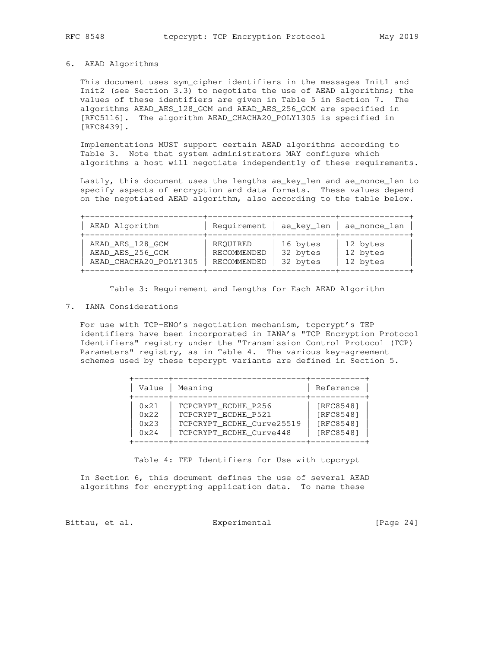## 6. AEAD Algorithms

 This document uses sym\_cipher identifiers in the messages Init1 and Init2 (see Section 3.3) to negotiate the use of AEAD algorithms; the values of these identifiers are given in Table 5 in Section 7. The algorithms AEAD\_AES\_128\_GCM and AEAD\_AES\_256\_GCM are specified in [RFC5116]. The algorithm AEAD\_CHACHA20\_POLY1305 is specified in [RFC8439].

 Implementations MUST support certain AEAD algorithms according to Table 3. Note that system administrators MAY configure which algorithms a host will negotiate independently of these requirements.

 Lastly, this document uses the lengths ae\_key\_len and ae\_nonce\_len to specify aspects of encryption and data formats. These values depend on the negotiated AEAD algorithm, also according to the table below.

+------------------------+-------------+------------+--------------+

| AEAD Algorithm                                                 | Requirement   ae_key_len               |                                  | ae_nonce_len                     |  |
|----------------------------------------------------------------|----------------------------------------|----------------------------------|----------------------------------|--|
| AEAD AES 128 GCM<br>AEAD AES 256 GCM<br>AEAD_CHACHA20_POLY1305 | REOUIRED<br>RECOMMENDED<br>RECOMMENDED | 16 bytes<br>32 bytes<br>32 bytes | 12 bytes<br>12 bytes<br>12 bytes |  |
|                                                                |                                        |                                  |                                  |  |

Table 3: Requirement and Lengths for Each AEAD Algorithm

#### 7. IANA Considerations

 For use with TCP-ENO's negotiation mechanism, tcpcrypt's TEP identifiers have been incorporated in IANA's "TCP Encryption Protocol Identifiers" registry under the "Transmission Control Protocol (TCP) Parameters" registry, as in Table 4. The various key-agreement schemes used by these tcpcrypt variants are defined in Section 5.

| Value         | Meaning                   | Reference |
|---------------|---------------------------|-----------|
| $0 \times 21$ | TCPCRYPT ECDHE P256       | [RFC8548] |
| 0x22          | TCPCRYPT_ECDHE_P521       | [RFC8548] |
| 0x23          | TCPCRYPT ECDHE Curve25519 | [RFC8548] |
| 0x24          | TCPCRYPT_ECDHE_Curve448   | [RFC8548] |

Table 4: TEP Identifiers for Use with tcpcrypt

 In Section 6, this document defines the use of several AEAD algorithms for encrypting application data. To name these

Bittau, et al. <br>Experimental [Page 24]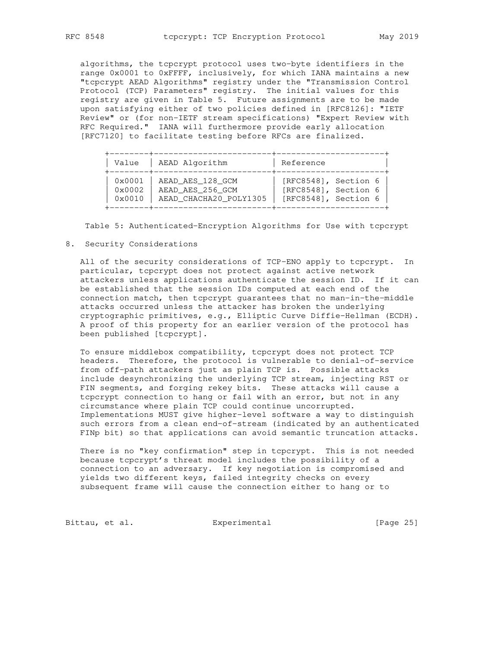algorithms, the tcpcrypt protocol uses two-byte identifiers in the range 0x0001 to 0xFFFF, inclusively, for which IANA maintains a new "tcpcrypt AEAD Algorithms" registry under the "Transmission Control Protocol (TCP) Parameters" registry. The initial values for this registry are given in Table 5. Future assignments are to be made upon satisfying either of two policies defined in [RFC8126]: "IETF Review" or (for non-IETF stream specifications) "Expert Review with RFC Required." IANA will furthermore provide early allocation [RFC7120] to facilitate testing before RFCs are finalized.

| Value           | AEAD Algorithm         | Reference            |
|-----------------|------------------------|----------------------|
| 0x0001          | AEAD AES 128 GCM       | [RFC8548], Section 6 |
| 0x0002          | AEAD AES 256 GCM       | [RFC8548], Section 6 |
| $0 \times 0010$ | AEAD_CHACHA20_POLY1305 | [RFC8548], Section 6 |

Table 5: Authenticated-Encryption Algorithms for Use with tcpcrypt

### 8. Security Considerations

 All of the security considerations of TCP-ENO apply to tcpcrypt. In particular, tcpcrypt does not protect against active network attackers unless applications authenticate the session ID. If it can be established that the session IDs computed at each end of the connection match, then tcpcrypt guarantees that no man-in-the-middle attacks occurred unless the attacker has broken the underlying cryptographic primitives, e.g., Elliptic Curve Diffie-Hellman (ECDH). A proof of this property for an earlier version of the protocol has been published [tcpcrypt].

 To ensure middlebox compatibility, tcpcrypt does not protect TCP headers. Therefore, the protocol is vulnerable to denial-of-service from off-path attackers just as plain TCP is. Possible attacks include desynchronizing the underlying TCP stream, injecting RST or FIN segments, and forging rekey bits. These attacks will cause a tcpcrypt connection to hang or fail with an error, but not in any circumstance where plain TCP could continue uncorrupted. Implementations MUST give higher-level software a way to distinguish such errors from a clean end-of-stream (indicated by an authenticated FINp bit) so that applications can avoid semantic truncation attacks.

 There is no "key confirmation" step in tcpcrypt. This is not needed because tcpcrypt's threat model includes the possibility of a connection to an adversary. If key negotiation is compromised and yields two different keys, failed integrity checks on every subsequent frame will cause the connection either to hang or to

Bittau, et al. Experimental [Page 25]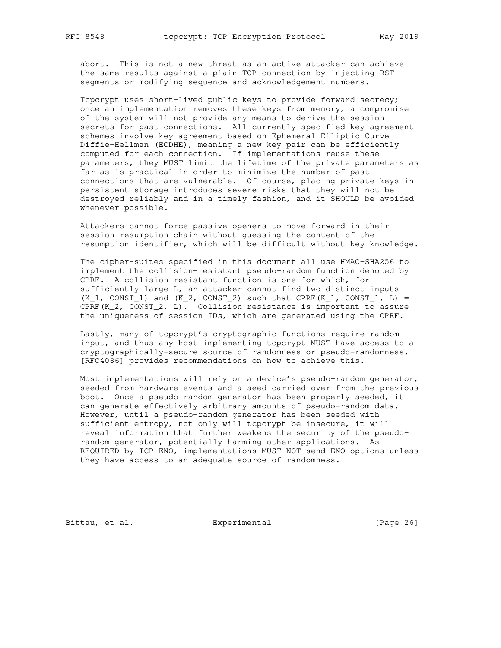abort. This is not a new threat as an active attacker can achieve the same results against a plain TCP connection by injecting RST segments or modifying sequence and acknowledgement numbers.

 Tcpcrypt uses short-lived public keys to provide forward secrecy; once an implementation removes these keys from memory, a compromise of the system will not provide any means to derive the session secrets for past connections. All currently-specified key agreement schemes involve key agreement based on Ephemeral Elliptic Curve Diffie-Hellman (ECDHE), meaning a new key pair can be efficiently computed for each connection. If implementations reuse these parameters, they MUST limit the lifetime of the private parameters as far as is practical in order to minimize the number of past connections that are vulnerable. Of course, placing private keys in persistent storage introduces severe risks that they will not be destroyed reliably and in a timely fashion, and it SHOULD be avoided whenever possible.

 Attackers cannot force passive openers to move forward in their session resumption chain without guessing the content of the resumption identifier, which will be difficult without key knowledge.

 The cipher-suites specified in this document all use HMAC-SHA256 to implement the collision-resistant pseudo-random function denoted by CPRF. A collision-resistant function is one for which, for sufficiently large L, an attacker cannot find two distinct inputs  $(K_1, CONST_1)$  and  $(K_2, CONST_2)$  such that CPRF $(K_1, CONST_1, L)$  = CPRF(K\_2, CONST\_2, L). Collision resistance is important to assure the uniqueness of session IDs, which are generated using the CPRF.

 Lastly, many of tcpcrypt's cryptographic functions require random input, and thus any host implementing tcpcrypt MUST have access to a cryptographically-secure source of randomness or pseudo-randomness. [RFC4086] provides recommendations on how to achieve this.

 Most implementations will rely on a device's pseudo-random generator, seeded from hardware events and a seed carried over from the previous boot. Once a pseudo-random generator has been properly seeded, it can generate effectively arbitrary amounts of pseudo-random data. However, until a pseudo-random generator has been seeded with sufficient entropy, not only will tcpcrypt be insecure, it will reveal information that further weakens the security of the pseudo random generator, potentially harming other applications. As REQUIRED by TCP-ENO, implementations MUST NOT send ENO options unless they have access to an adequate source of randomness.

Bittau, et al. Experimental [Page 26]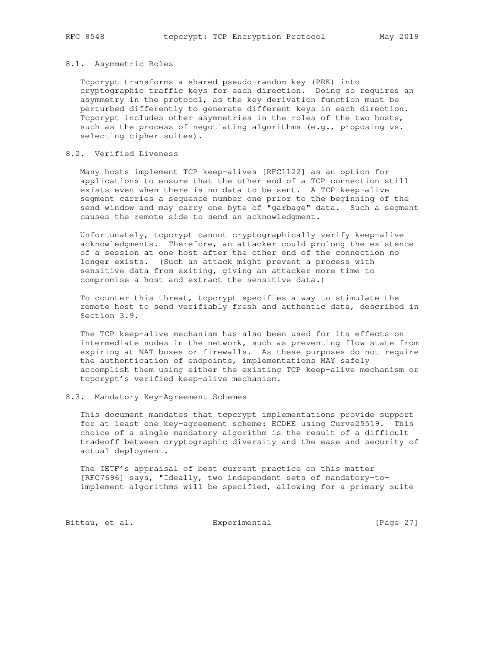### 8.1. Asymmetric Roles

 Tcpcrypt transforms a shared pseudo-random key (PRK) into cryptographic traffic keys for each direction. Doing so requires an asymmetry in the protocol, as the key derivation function must be perturbed differently to generate different keys in each direction. Tcpcrypt includes other asymmetries in the roles of the two hosts, such as the process of negotiating algorithms (e.g., proposing vs. selecting cipher suites).

# 8.2. Verified Liveness

 Many hosts implement TCP keep-alives [RFC1122] as an option for applications to ensure that the other end of a TCP connection still exists even when there is no data to be sent. A TCP keep-alive segment carries a sequence number one prior to the beginning of the send window and may carry one byte of "garbage" data. Such a segment causes the remote side to send an acknowledgment.

 Unfortunately, tcpcrypt cannot cryptographically verify keep-alive acknowledgments. Therefore, an attacker could prolong the existence of a session at one host after the other end of the connection no longer exists. (Such an attack might prevent a process with sensitive data from exiting, giving an attacker more time to compromise a host and extract the sensitive data.)

 To counter this threat, tcpcrypt specifies a way to stimulate the remote host to send verifiably fresh and authentic data, described in Section 3.9.

 The TCP keep-alive mechanism has also been used for its effects on intermediate nodes in the network, such as preventing flow state from expiring at NAT boxes or firewalls. As these purposes do not require the authentication of endpoints, implementations MAY safely accomplish them using either the existing TCP keep-alive mechanism or tcpcrypt's verified keep-alive mechanism.

#### 8.3. Mandatory Key-Agreement Schemes

 This document mandates that tcpcrypt implementations provide support for at least one key-agreement scheme: ECDHE using Curve25519. This choice of a single mandatory algorithm is the result of a difficult tradeoff between cryptographic diversity and the ease and security of actual deployment.

 The IETF's appraisal of best current practice on this matter [RFC7696] says, "Ideally, two independent sets of mandatory-to implement algorithms will be specified, allowing for a primary suite

Bittau, et al. Experimental [Page 27]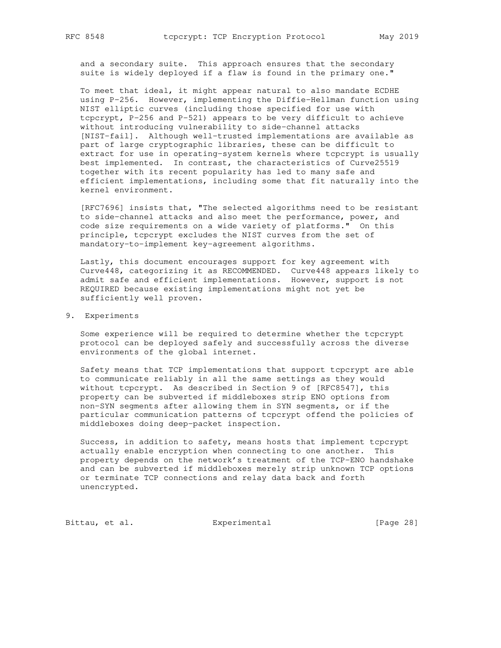and a secondary suite. This approach ensures that the secondary suite is widely deployed if a flaw is found in the primary one."

 To meet that ideal, it might appear natural to also mandate ECDHE using P-256. However, implementing the Diffie-Hellman function using NIST elliptic curves (including those specified for use with tcpcrypt, P-256 and P-521) appears to be very difficult to achieve without introducing vulnerability to side-channel attacks [NIST-fail]. Although well-trusted implementations are available as part of large cryptographic libraries, these can be difficult to extract for use in operating-system kernels where tcpcrypt is usually best implemented. In contrast, the characteristics of Curve25519 together with its recent popularity has led to many safe and efficient implementations, including some that fit naturally into the kernel environment.

 [RFC7696] insists that, "The selected algorithms need to be resistant to side-channel attacks and also meet the performance, power, and code size requirements on a wide variety of platforms." On this principle, tcpcrypt excludes the NIST curves from the set of mandatory-to-implement key-agreement algorithms.

 Lastly, this document encourages support for key agreement with Curve448, categorizing it as RECOMMENDED. Curve448 appears likely to admit safe and efficient implementations. However, support is not REQUIRED because existing implementations might not yet be sufficiently well proven.

9. Experiments

 Some experience will be required to determine whether the tcpcrypt protocol can be deployed safely and successfully across the diverse environments of the global internet.

 Safety means that TCP implementations that support tcpcrypt are able to communicate reliably in all the same settings as they would without tcpcrypt. As described in Section 9 of [RFC8547], this property can be subverted if middleboxes strip ENO options from non-SYN segments after allowing them in SYN segments, or if the particular communication patterns of tcpcrypt offend the policies of middleboxes doing deep-packet inspection.

 Success, in addition to safety, means hosts that implement tcpcrypt actually enable encryption when connecting to one another. This property depends on the network's treatment of the TCP-ENO handshake and can be subverted if middleboxes merely strip unknown TCP options or terminate TCP connections and relay data back and forth unencrypted.

Bittau, et al. Experimental [Page 28]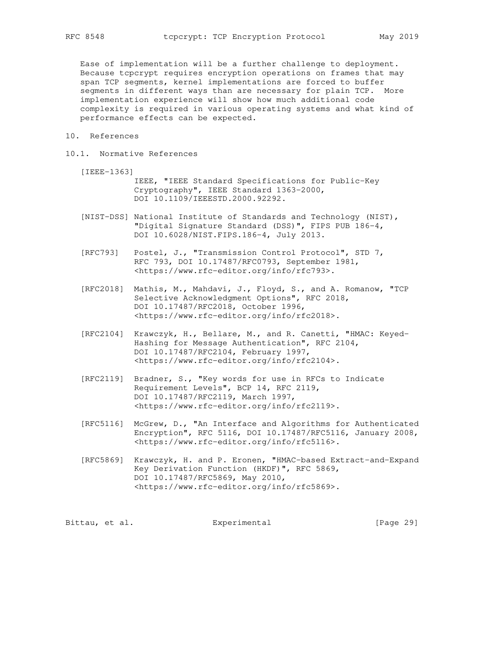Ease of implementation will be a further challenge to deployment. Because tcpcrypt requires encryption operations on frames that may span TCP segments, kernel implementations are forced to buffer segments in different ways than are necessary for plain TCP. More implementation experience will show how much additional code complexity is required in various operating systems and what kind of performance effects can be expected.

- 10. References
- 10.1. Normative References
	- [IEEE-1363] IEEE, "IEEE Standard Specifications for Public-Key
		- Cryptography", IEEE Standard 1363-2000, DOI 10.1109/IEEESTD.2000.92292.
	- [NIST-DSS] National Institute of Standards and Technology (NIST), "Digital Signature Standard (DSS)", FIPS PUB 186-4, DOI 10.6028/NIST.FIPS.186-4, July 2013.
	- [RFC793] Postel, J., "Transmission Control Protocol", STD 7, RFC 793, DOI 10.17487/RFC0793, September 1981, <https://www.rfc-editor.org/info/rfc793>.
	- [RFC2018] Mathis, M., Mahdavi, J., Floyd, S., and A. Romanow, "TCP Selective Acknowledgment Options", RFC 2018, DOI 10.17487/RFC2018, October 1996, <https://www.rfc-editor.org/info/rfc2018>.
	- [RFC2104] Krawczyk, H., Bellare, M., and R. Canetti, "HMAC: Keyed- Hashing for Message Authentication", RFC 2104, DOI 10.17487/RFC2104, February 1997, <https://www.rfc-editor.org/info/rfc2104>.
	- [RFC2119] Bradner, S., "Key words for use in RFCs to Indicate Requirement Levels", BCP 14, RFC 2119, DOI 10.17487/RFC2119, March 1997, <https://www.rfc-editor.org/info/rfc2119>.
	- [RFC5116] McGrew, D., "An Interface and Algorithms for Authenticated Encryption", RFC 5116, DOI 10.17487/RFC5116, January 2008, <https://www.rfc-editor.org/info/rfc5116>.
	- [RFC5869] Krawczyk, H. and P. Eronen, "HMAC-based Extract-and-Expand Key Derivation Function (HKDF)", RFC 5869, DOI 10.17487/RFC5869, May 2010, <https://www.rfc-editor.org/info/rfc5869>.

Bittau, et al. Subsectimental Experimental [Page 29]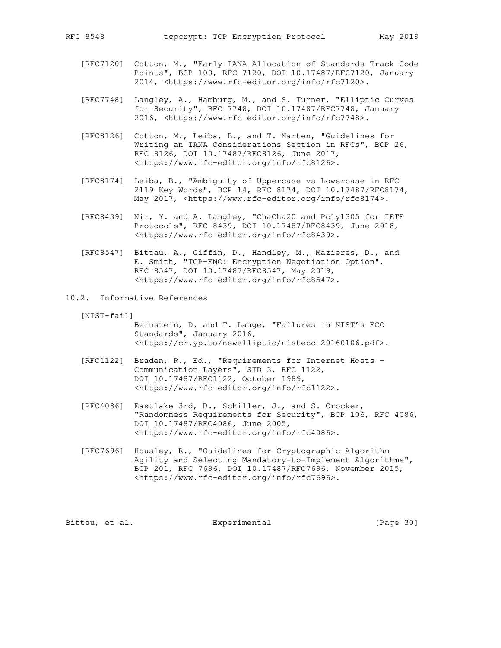- [RFC7120] Cotton, M., "Early IANA Allocation of Standards Track Code Points", BCP 100, RFC 7120, DOI 10.17487/RFC7120, January 2014, <https://www.rfc-editor.org/info/rfc7120>.
- [RFC7748] Langley, A., Hamburg, M., and S. Turner, "Elliptic Curves for Security", RFC 7748, DOI 10.17487/RFC7748, January 2016, <https://www.rfc-editor.org/info/rfc7748>.
- [RFC8126] Cotton, M., Leiba, B., and T. Narten, "Guidelines for Writing an IANA Considerations Section in RFCs", BCP 26, RFC 8126, DOI 10.17487/RFC8126, June 2017, <https://www.rfc-editor.org/info/rfc8126>.
- [RFC8174] Leiba, B., "Ambiguity of Uppercase vs Lowercase in RFC 2119 Key Words", BCP 14, RFC 8174, DOI 10.17487/RFC8174, May 2017, <https://www.rfc-editor.org/info/rfc8174>.
- [RFC8439] Nir, Y. and A. Langley, "ChaCha20 and Poly1305 for IETF Protocols", RFC 8439, DOI 10.17487/RFC8439, June 2018, <https://www.rfc-editor.org/info/rfc8439>.
- [RFC8547] Bittau, A., Giffin, D., Handley, M., Mazieres, D., and E. Smith, "TCP-ENO: Encryption Negotiation Option", RFC 8547, DOI 10.17487/RFC8547, May 2019, <https://www.rfc-editor.org/info/rfc8547>.
- 10.2. Informative References

[NIST-fail]

 Bernstein, D. and T. Lange, "Failures in NIST's ECC Standards", January 2016, <https://cr.yp.to/newelliptic/nistecc-20160106.pdf>.

- [RFC1122] Braden, R., Ed., "Requirements for Internet Hosts Communication Layers", STD 3, RFC 1122, DOI 10.17487/RFC1122, October 1989, <https://www.rfc-editor.org/info/rfc1122>.
- [RFC4086] Eastlake 3rd, D., Schiller, J., and S. Crocker, "Randomness Requirements for Security", BCP 106, RFC 4086, DOI 10.17487/RFC4086, June 2005, <https://www.rfc-editor.org/info/rfc4086>.
- [RFC7696] Housley, R., "Guidelines for Cryptographic Algorithm Agility and Selecting Mandatory-to-Implement Algorithms", BCP 201, RFC 7696, DOI 10.17487/RFC7696, November 2015, <https://www.rfc-editor.org/info/rfc7696>.

Bittau, et al. **Experimental** [Page 30]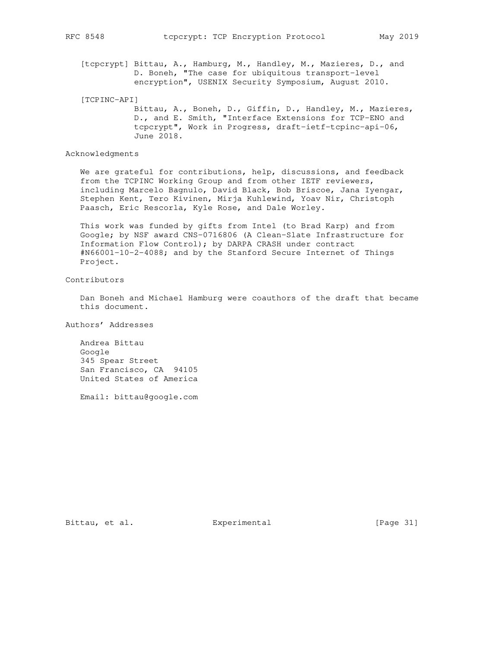[tcpcrypt] Bittau, A., Hamburg, M., Handley, M., Mazieres, D., and D. Boneh, "The case for ubiquitous transport-level encryption", USENIX Security Symposium, August 2010.

 [TCPINC-API] Bittau, A., Boneh, D., Giffin, D., Handley, M., Mazieres, D., and E. Smith, "Interface Extensions for TCP-ENO and tcpcrypt", Work in Progress, draft-ietf-tcpinc-api-06, June 2018.

Acknowledgments

 We are grateful for contributions, help, discussions, and feedback from the TCPINC Working Group and from other IETF reviewers, including Marcelo Bagnulo, David Black, Bob Briscoe, Jana Iyengar, Stephen Kent, Tero Kivinen, Mirja Kuhlewind, Yoav Nir, Christoph Paasch, Eric Rescorla, Kyle Rose, and Dale Worley.

 This work was funded by gifts from Intel (to Brad Karp) and from Google; by NSF award CNS-0716806 (A Clean-Slate Infrastructure for Information Flow Control); by DARPA CRASH under contract #N66001-10-2-4088; and by the Stanford Secure Internet of Things Project.

Contributors

 Dan Boneh and Michael Hamburg were coauthors of the draft that became this document.

Authors' Addresses

 Andrea Bittau Google 345 Spear Street San Francisco, CA 94105 United States of America

Email: bittau@google.com

Bittau, et al. Experimental [Page 31]